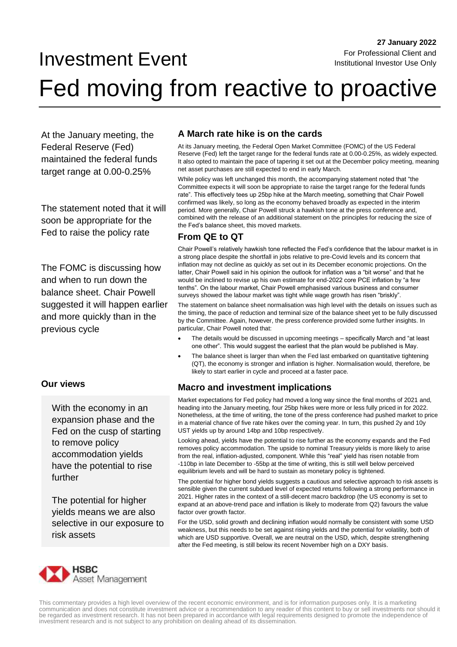## Investment Event

# Fed moving from reactive to proactive

At the January meeting, the Federal Reserve (Fed) maintained the federal funds target range at 0.00-0.25%

The statement noted that it will soon be appropriate for the Fed to raise the policy rate

The FOMC is discussing how and when to run down the balance sheet. Chair Powell suggested it will happen earlier and more quickly than in the previous cycle

#### **Our views**

With the economy in an expansion phase and the Fed on the cusp of starting to remove policy accommodation yields have the potential to rise further

The potential for higher yields means we are also selective in our exposure to risk assets

### **A March rate hike is on the cards**

At its January meeting, the Federal Open Market Committee (FOMC) of the US Federal Reserve (Fed) left the target range for the federal funds rate at 0.00-0.25%, as widely expected. It also opted to maintain the pace of tapering it set out at the December policy meeting, meaning net asset purchases are still expected to end in early March.

While policy was left unchanged this month, the accompanying statement noted that "the Committee expects it will soon be appropriate to raise the target range for the federal funds rate". This effectively tees up 25bp hike at the March meeting, something that Chair Powell confirmed was likely, so long as the economy behaved broadly as expected in the interim period. More generally, Chair Powell struck a hawkish tone at the press conference and, combined with the release of an additional statement on the principles for reducing the size of the Fed's balance sheet, this moved markets.

#### **From QE to QT**

Chair Powell's relatively hawkish tone reflected the Fed's confidence that the labour market is in a strong place despite the shortfall in jobs relative to pre-Covid levels and its concern that inflation may not decline as quickly as set out in its December economic projections. On the latter, Chair Powell said in his opinion the outlook for inflation was a "bit worse" and that he would be inclined to revise up his own estimate for end-2022 core PCE inflation by "a few tenths". On the labour market, Chair Powell emphasised various business and consumer surveys showed the labour market was tight while wage growth has risen "briskly".

The statement on balance sheet normalisation was high level with the details on issues such as the timing, the pace of reduction and terminal size of the balance sheet yet to be fully discussed by the Committee. Again, however, the press conference provided some further insights. In particular, Chair Powell noted that:

- The details would be discussed in upcoming meetings specifically March and "at least one other". This would suggest the earliest that the plan would be published is May.
- The balance sheet is larger than when the Fed last embarked on quantitative tightening (QT), the economy is stronger and inflation is higher. Normalisation would, therefore, be likely to start earlier in cycle and proceed at a faster pace.

#### **Macro and investment implications**

Market expectations for Fed policy had moved a long way since the final months of 2021 and, heading into the January meeting, four 25bp hikes were more or less fully priced in for 2022. Nonetheless, at the time of writing, the tone of the press conference had pushed market to price in a material chance of five rate hikes over the coming year. In turn, this pushed 2y and 10y UST yields up by around 14bp and 10bp respectively.

Looking ahead, yields have the potential to rise further as the economy expands and the Fed removes policy accommodation. The upside to nominal Treasury yields is more likely to arise from the real, inflation-adjusted, component. While this "real" yield has risen notable from -110bp in late December to -55bp at the time of writing, this is still well below perceived equilibrium levels and will be hard to sustain as monetary policy is tightened.

The potential for higher bond yields suggests a cautious and selective approach to risk assets is sensible given the current subdued level of expected returns following a strong performance in 2021. Higher rates in the context of a still-decent macro backdrop (the US economy is set to expand at an above-trend pace and inflation is likely to moderate from Q2) favours the value factor over growth factor.

For the USD, solid growth and declining inflation would normally be consistent with some USD weakness, but this needs to be set against rising yields and the potential for volatility, both of which are USD supportive. Overall, we are neutral on the USD, which, despite strengthening after the Fed meeting, is still below its recent November high on a DXY basis.



This commentary provides a high level overview of the recent economic environment, and is for information purposes only. It is a marketing communication and does not constitute investment advice or a recommendation to any reader of this content to buy or sell investments nor should it<br>be regarded as investment research. It has not been prepared in accordance